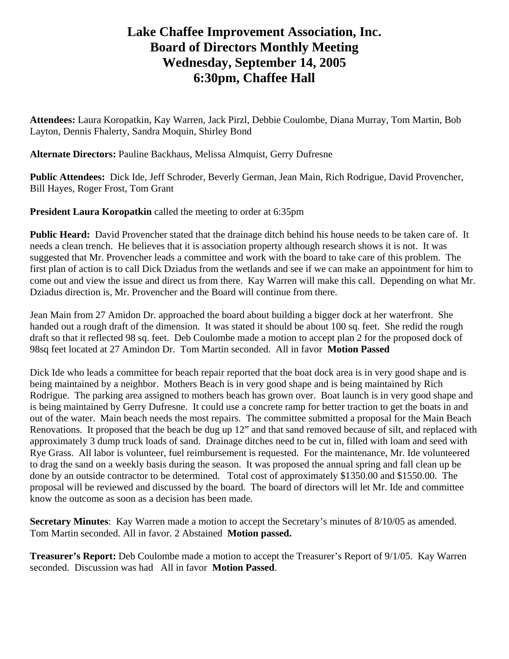# **Lake Chaffee Improvement Association, Inc. Board of Directors Monthly Meeting Wednesday, September 14, 2005 6:30pm, Chaffee Hall**

**Attendees:** Laura Koropatkin, Kay Warren, Jack Pirzl, Debbie Coulombe, Diana Murray, Tom Martin, Bob Layton, Dennis Fhalerty, Sandra Moquin, Shirley Bond

**Alternate Directors:** Pauline Backhaus, Melissa Almquist, Gerry Dufresne

**Public Attendees:** Dick Ide, Jeff Schroder, Beverly German, Jean Main, Rich Rodrigue, David Provencher, Bill Hayes, Roger Frost, Tom Grant

**President Laura Koropatkin** called the meeting to order at 6:35pm

**Public Heard:** David Provencher stated that the drainage ditch behind his house needs to be taken care of. It needs a clean trench. He believes that it is association property although research shows it is not. It was suggested that Mr. Provencher leads a committee and work with the board to take care of this problem. The first plan of action is to call Dick Dziadus from the wetlands and see if we can make an appointment for him to come out and view the issue and direct us from there. Kay Warren will make this call. Depending on what Mr. Dziadus direction is, Mr. Provencher and the Board will continue from there.

Jean Main from 27 Amidon Dr. approached the board about building a bigger dock at her waterfront. She handed out a rough draft of the dimension. It was stated it should be about 100 sq. feet. She redid the rough draft so that it reflected 98 sq. feet. Deb Coulombe made a motion to accept plan 2 for the proposed dock of 98sq feet located at 27 Amindon Dr. Tom Martin seconded. All in favor **Motion Passed** 

Dick Ide who leads a committee for beach repair reported that the boat dock area is in very good shape and is being maintained by a neighbor. Mothers Beach is in very good shape and is being maintained by Rich Rodrigue. The parking area assigned to mothers beach has grown over. Boat launch is in very good shape and is being maintained by Gerry Dufresne. It could use a concrete ramp for better traction to get the boats in and out of the water. Main beach needs the most repairs. The committee submitted a proposal for the Main Beach Renovations. It proposed that the beach be dug up 12" and that sand removed because of silt, and replaced with approximately 3 dump truck loads of sand. Drainage ditches need to be cut in, filled with loam and seed with Rye Grass. All labor is volunteer, fuel reimbursement is requested. For the maintenance, Mr. Ide volunteered to drag the sand on a weekly basis during the season. It was proposed the annual spring and fall clean up be done by an outside contractor to be determined. Total cost of approximately \$1350.00 and \$1550.00. The proposal will be reviewed and discussed by the board. The board of directors will let Mr. Ide and committee know the outcome as soon as a decision has been made.

**Secretary Minutes**: Kay Warren made a motion to accept the Secretary's minutes of 8/10/05 as amended. Tom Martin seconded. All in favor. 2 Abstained **Motion passed.** 

**Treasurer's Report:** Deb Coulombe made a motion to accept the Treasurer's Report of 9/1/05. Kay Warren seconded. Discussion was had All in favor **Motion Passed**.